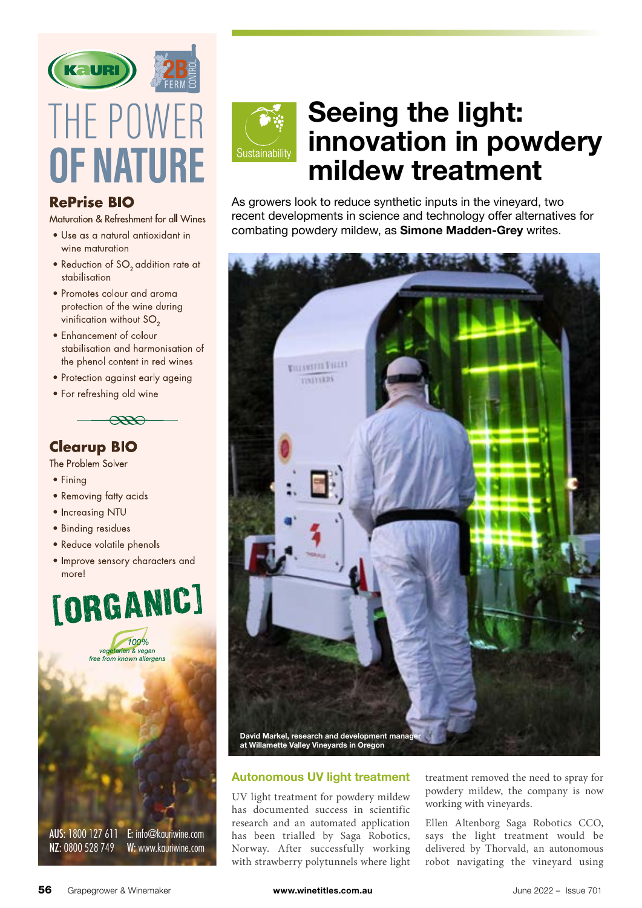

# THE POWER **OF NATURE**

### **RePrise BIO**

Maturation & Refreshment for all Wines

- · Use as a natural antioxidant in wine maturation
- . Reduction of SO<sub>2</sub> addition rate at stabilisation
- Promotes colour and aroma protection of the wine during vinification without SO<sub>2</sub>
- Enhancement of colour stabilisation and harmonisation of the phenol content in red wines
- Protection against early ageing
- For refreshing old wine



### **Clearup BIO**

The Problem Solver

- $\bullet$  Fining
- Removing fatty acids
- Increasing NTU
- · Binding residues
- Reduce volatile phenols
- · Improve sensory characters and more!



NZ: 0800 528 749 W: www.kauriwine.com



# **Seeing the light: innovation in powdery mildew treatment**

As growers look to reduce synthetic inputs in the vineyard, two recent developments in science and technology offer alternatives for combating powdery mildew, as **Simone Madden-Grey** writes.



#### **Autonomous UV light treatment**

UV light treatment for powdery mildew has documented success in scientific research and an automated application has been trialled by Saga Robotics, Norway. After successfully working with strawberry polytunnels where light

treatment removed the need to spray for powdery mildew, the company is now working with vineyards.

Ellen Altenborg Saga Robotics CCO, says the light treatment would be delivered by Thorvald, an autonomous robot navigating the vineyard using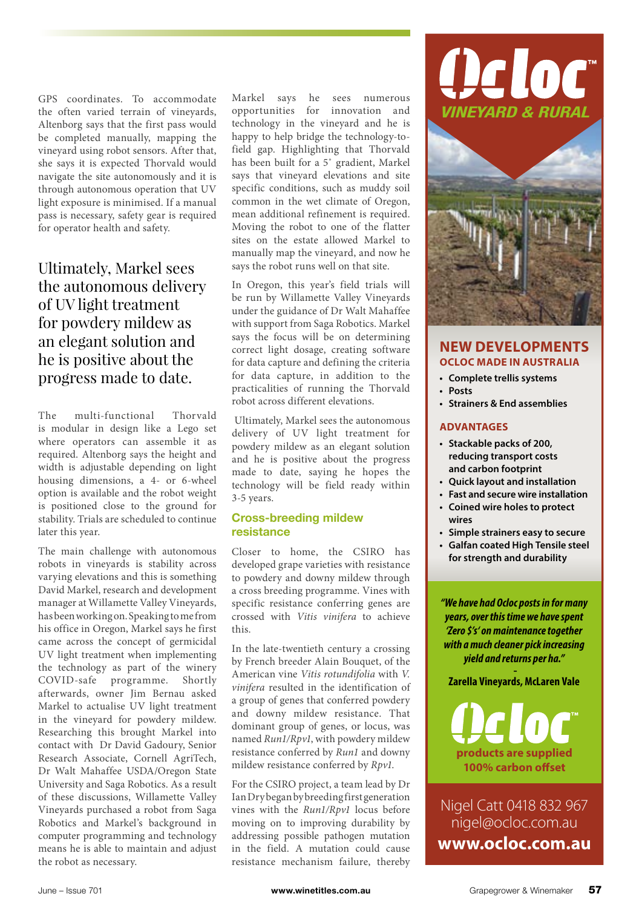GPS coordinates. To accommodate the often varied terrain of vineyards, Altenborg says that the first pass would be completed manually, mapping the vineyard using robot sensors. After that, she says it is expected Thorvald would navigate the site autonomously and it is through autonomous operation that UV light exposure is minimised. If a manual pass is necessary, safety gear is required for operator health and safety.

## Ultimately, Markel sees the autonomous delivery of UV light treatment for powdery mildew as an elegant solution and he is positive about the progress made to date.

The multi-functional Thorvald is modular in design like a Lego set where operators can assemble it as required. Altenborg says the height and width is adjustable depending on light housing dimensions, a 4- or 6-wheel option is available and the robot weight is positioned close to the ground for stability. Trials are scheduled to continue later this year.

The main challenge with autonomous robots in vineyards is stability across varying elevations and this is something David Markel, research and development manager at Willamette Valley Vineyards, has been working on. Speaking to me from his office in Oregon, Markel says he first came across the concept of germicidal UV light treatment when implementing the technology as part of the winery COVID-safe programme. Shortly afterwards, owner Jim Bernau asked Markel to actualise UV light treatment in the vineyard for powdery mildew. Researching this brought Markel into contact with Dr David Gadoury, Senior Research Associate, Cornell AgriTech, Dr Walt Mahaffee USDA/Oregon State University and Saga Robotics. As a result of these discussions, Willamette Valley Vineyards purchased a robot from Saga Robotics and Markel's background in computer programming and technology means he is able to maintain and adjust the robot as necessary.

Markel says he sees numerous opportunities for innovation and technology in the vineyard and he is happy to help bridge the technology-tofield gap. Highlighting that Thorvald has been built for a 5˚ gradient, Markel says that vineyard elevations and site specific conditions, such as muddy soil common in the wet climate of Oregon, mean additional refinement is required. Moving the robot to one of the flatter sites on the estate allowed Markel to manually map the vineyard, and now he says the robot runs well on that site.

In Oregon, this year's field trials will be run by Willamette Valley Vineyards under the guidance of Dr Walt Mahaffee with support from Saga Robotics. Markel says the focus will be on determining correct light dosage, creating software for data capture and defining the criteria for data capture, in addition to the practicalities of running the Thorvald robot across different elevations.

 Ultimately, Markel sees the autonomous delivery of UV light treatment for powdery mildew as an elegant solution and he is positive about the progress made to date, saying he hopes the technology will be field ready within 3-5 years.

#### **Cross-breeding mildew resistance**

Closer to home, the CSIRO has developed grape varieties with resistance to powdery and downy mildew through a cross breeding programme. Vines with specific resistance conferring genes are crossed with *Vitis vinifera* to achieve this.

In the late-twentieth century a crossing by French breeder Alain Bouquet, of the American vine *Vitis rotundifolia* with *V. vinifera* resulted in the identification of a group of genes that conferred powdery and downy mildew resistance. That dominant group of genes, or locus, was named *Run1/Rpv1*, with powdery mildew resistance conferred by *Run1* and downy mildew resistance conferred by *Rpv1*.

For the CSIRO project, a team lead by Dr Ian Dry began by breeding first generation vines with the *Run1/Rpv1* locus before moving on to improving durability by addressing possible pathogen mutation in the field. A mutation could cause resistance mechanism failure, thereby





#### **NEW DEVELOPMENTS OCLOC MADE IN AUSTRALIA**

- **• Complete trellis systems**
- **• Posts**
- **• Strainers & End assemblies**

#### **ADVANTAGES**

- **• Stackable packs of 200, reducing transport costs and carbon footprint**
- **• Quick layout and installation**
- **• Fast and secure wire installation**
- **• Coined wire holes to protect wires**
- **• Simple strainers easy to secure**
- **• Galfan coated High Tensile steel for strength and durability**

*"We have had Ocloc posts in for many years, over this time we have spent 'Zero \$'s' on maintenance together with a much cleaner pick increasing yield and returns per ha."*

 **- Zarella Vineyards, McLaren Vale** 

**products are supplied 100% carbon offset**

Nigel Catt 0418 832 967 nigel@ocloc.com.au **www.ocloc.com.au**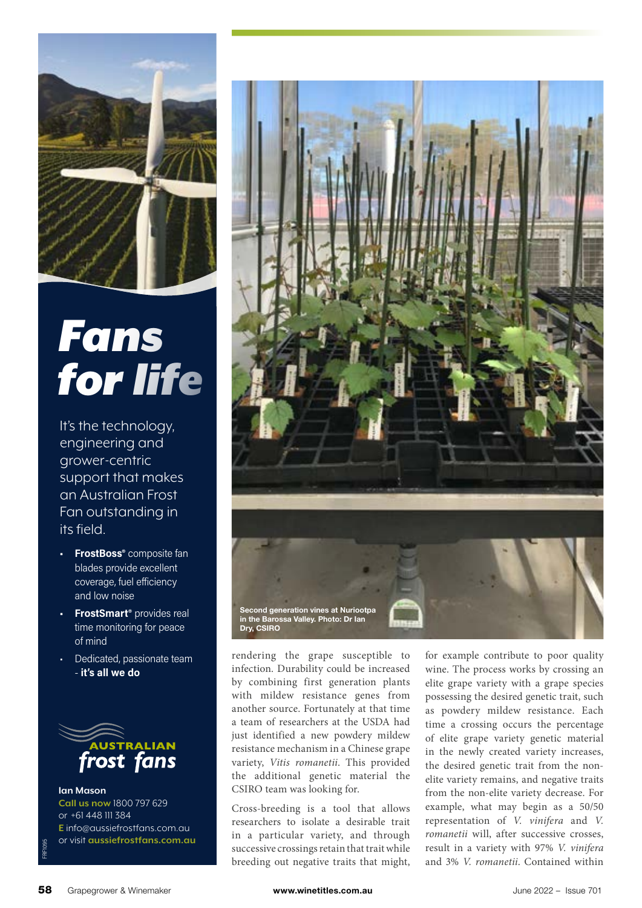

# *Fans for life*

It's the technology, engineering and grower-centric support that makes an Australian Frost Fan outstanding in its field.

- **• FrostBoss®** composite fan blades provide excellent coverage, fuel efficiency and low noise
- **• FrostSmart®** provides real time monitoring for peace of mind
- Dedicated, passionate team - **it's all we do**



**Ian Mason Call us now** 1800 797 629 or +61 448 111 384 **E** info@aussiefrostfans.com.au or visit **aussiefrostfans.com.au**



rendering the grape susceptible to infection. Durability could be increased by combining first generation plants with mildew resistance genes from another source. Fortunately at that time a team of researchers at the USDA had just identified a new powdery mildew resistance mechanism in a Chinese grape variety, *Vitis romanetii*. This provided the additional genetic material the CSIRO team was looking for.

Cross-breeding is a tool that allows researchers to isolate a desirable trait in a particular variety, and through successive crossings retain that trait while breeding out negative traits that might,

for example contribute to poor quality wine. The process works by crossing an elite grape variety with a grape species possessing the desired genetic trait, such as powdery mildew resistance. Each time a crossing occurs the percentage of elite grape variety genetic material in the newly created variety increases, the desired genetic trait from the nonelite variety remains, and negative traits from the non-elite variety decrease. For example, what may begin as a 50/50 representation of *V. vinifera* and *V. romanetii* will, after successive crosses, result in a variety with 97% *V. vinifera* and 3% *V. romanetii*. Contained within

FRF1095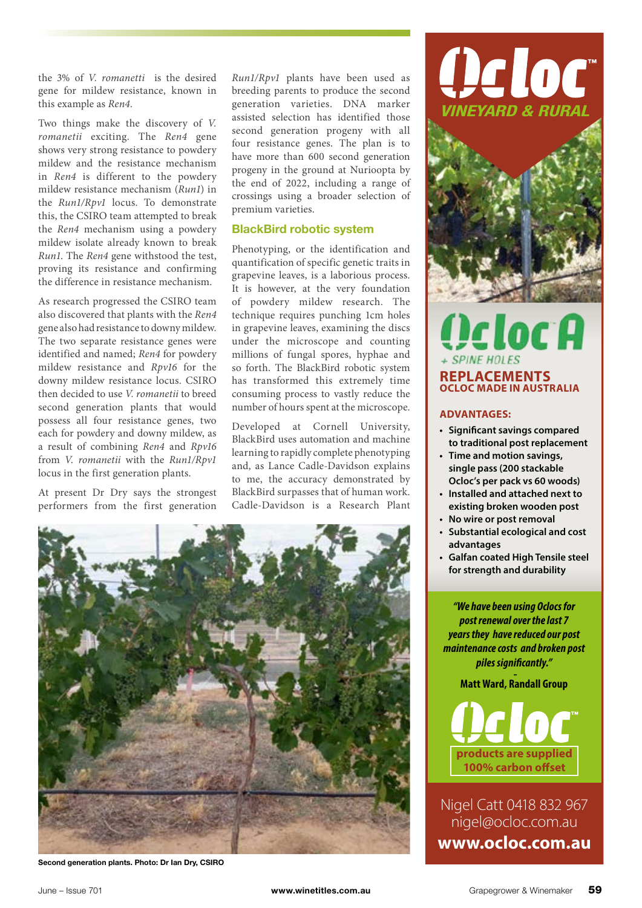the 3% of *V. romanetti* is the desired gene for mildew resistance, known in this example as *Ren4*.

Two things make the discovery of *V. romanetii* exciting. The *Ren4* gene shows very strong resistance to powdery mildew and the resistance mechanism in *Ren4* is different to the powdery mildew resistance mechanism (*Run1*) in the *Run1/Rpv1* locus. To demonstrate this, the CSIRO team attempted to break the *Ren4* mechanism using a powdery mildew isolate already known to break *Run1*. The *Ren4* gene withstood the test, proving its resistance and confirming the difference in resistance mechanism.

As research progressed the CSIRO team also discovered that plants with the *Ren4* gene also had resistance to downy mildew. The two separate resistance genes were identified and named; *Ren4* for powdery mildew resistance and *Rpv16* for the downy mildew resistance locus. CSIRO then decided to use *V. romanetii* to breed second generation plants that would possess all four resistance genes, two each for powdery and downy mildew, as a result of combining *Ren4* and *Rpv16* from *V. romanetii* with the *Run1/Rpv1* locus in the first generation plants.

At present Dr Dry says the strongest performers from the first generation

*Run1/Rpv1* plants have been used as breeding parents to produce the second generation varieties. DNA marker assisted selection has identified those second generation progeny with all four resistance genes. The plan is to have more than 600 second generation progeny in the ground at Nurioopta by the end of 2022, including a range of crossings using a broader selection of premium varieties.

#### **BlackBird robotic system**

Phenotyping, or the identification and quantification of specific genetic traits in grapevine leaves, is a laborious process. It is however, at the very foundation of powdery mildew research. The technique requires punching 1cm holes in grapevine leaves, examining the discs under the microscope and counting millions of fungal spores, hyphae and so forth. The BlackBird robotic system has transformed this extremely time consuming process to vastly reduce the number of hours spent at the microscope.

Developed at Cornell University, BlackBird uses automation and machine learning to rapidly complete phenotyping and, as Lance Cadle-Davidson explains to me, the accuracy demonstrated by BlackBird surpasses that of human work. Cadle-Davidson is a Research Plant



**Second generation plants. Photo: Dr Ian Dry, CSIRO**





## cloc A + SPINE HOLES **REPLACEMENTS OCLOC MADE IN AUSTRALIA**

#### **ADVANTAGES:**

- **• Significant savings compared to traditional post replacement**
- **• Time and motion savings, single pass (200 stackable Ocloc's per pack vs 60 woods)**
- **• Installed and attached next to existing broken wooden post**
- **• No wire or post removal**
- **• Substantial ecological and cost advantages**
- **• Galfan coated High Tensile steel for strength and durability**

*"We have been using Oclocs for post renewal over the last 7 years they have reduced our post maintenance costs and broken post piles significantly."* 

**- Matt Ward, Randall Group** 



Nigel Catt 0418 832 967 nigel@ocloc.com.au **www.ocloc.com.au**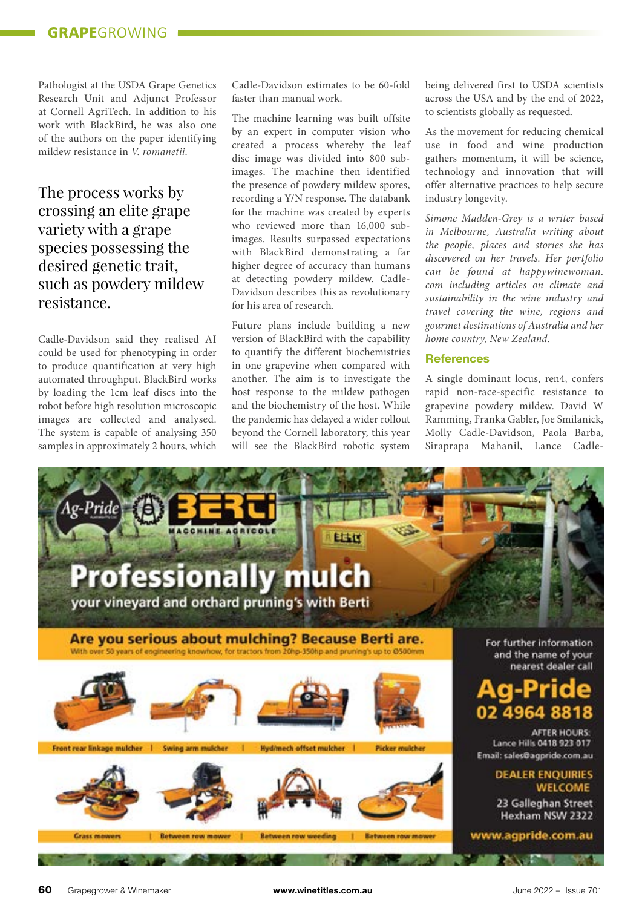Pathologist at the USDA Grape Genetics Research Unit and Adjunct Professor at Cornell AgriTech. In addition to his work with BlackBird, he was also one of the authors on the paper identifying mildew resistance in *V. romanetii*.

The process works by crossing an elite grape variety with a grape species possessing the desired genetic trait, such as powdery mildew resistance.

Cadle-Davidson said they realised AI could be used for phenotyping in order to produce quantification at very high automated throughput. BlackBird works by loading the 1cm leaf discs into the robot before high resolution microscopic images are collected and analysed. The system is capable of analysing 350 samples in approximately 2 hours, which Cadle-Davidson estimates to be 60-fold faster than manual work.

The machine learning was built offsite by an expert in computer vision who created a process whereby the leaf disc image was divided into 800 subimages. The machine then identified the presence of powdery mildew spores, recording a Y/N response. The databank for the machine was created by experts who reviewed more than 16,000 subimages. Results surpassed expectations with BlackBird demonstrating a far higher degree of accuracy than humans at detecting powdery mildew. Cadle-Davidson describes this as revolutionary for his area of research.

Future plans include building a new version of BlackBird with the capability to quantify the different biochemistries in one grapevine when compared with another. The aim is to investigate the host response to the mildew pathogen and the biochemistry of the host. While the pandemic has delayed a wider rollout beyond the Cornell laboratory, this year will see the BlackBird robotic system being delivered first to USDA scientists across the USA and by the end of 2022, to scientists globally as requested.

As the movement for reducing chemical use in food and wine production gathers momentum, it will be science, technology and innovation that will offer alternative practices to help secure industry longevity.

*Simone Madden-Grey is a writer based in Melbourne, Australia writing about the people, places and stories she has discovered on her travels. Her portfolio can be found at happywinewoman. com including articles on climate and sustainability in the wine industry and travel covering the wine, regions and gourmet destinations of Australia and her home country, New Zealand.* 

#### **References**

A single dominant locus, ren4, confers rapid non-race-specific resistance to grapevine powdery mildew. David W Ramming, Franka Gabler, Joe Smilanick, Molly Cadle-Davidson, Paola Barba, Siraprapa Mahanil, Lance Cadle-